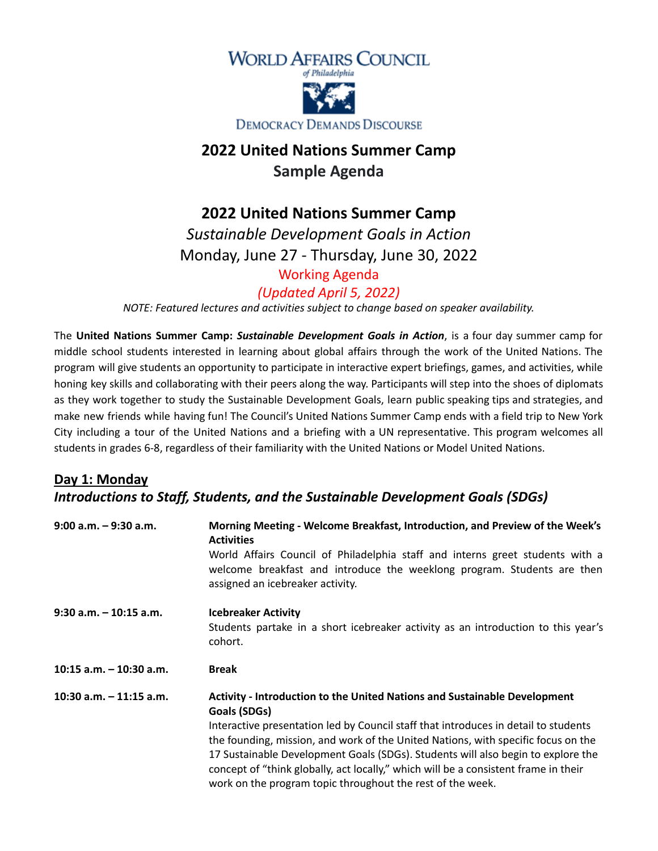

# **2022 United Nations Summer Camp Sample Agenda**

#### **2022 United Nations Summer Camp**

*Sustainable Development Goals in Action* Monday, June 27 - Thursday, June 30, 2022

#### Working Agenda

*(Updated April 5, 2022)*

*NOTE: Featured lectures and activities subject to change based on speaker availability.*

The **United Nations Summer Camp:** *Sustainable Development Goals in Action*, is a four day summer camp for middle school students interested in learning about global affairs through the work of the United Nations. The program will give students an opportunity to participate in interactive expert briefings, games, and activities, while honing key skills and collaborating with their peers along the way. Participants will step into the shoes of diplomats as they work together to study the Sustainable Development Goals, learn public speaking tips and strategies, and make new friends while having fun! The Council's United Nations Summer Camp ends with a field trip to New York City including a tour of the United Nations and a briefing with a UN representative. This program welcomes all students in grades 6-8, regardless of their familiarity with the United Nations or Model United Nations.

#### **Day 1: Monday** *Introductions to Staff, Students, and the Sustainable Development Goals (SDGs)*

| Morning Meeting - Welcome Breakfast, Introduction, and Preview of the Week's<br><b>Activities</b>                                                                                            |  |
|----------------------------------------------------------------------------------------------------------------------------------------------------------------------------------------------|--|
| World Affairs Council of Philadelphia staff and interns greet students with a<br>welcome breakfast and introduce the weeklong program. Students are then<br>assigned an icebreaker activity. |  |
| <b>Icebreaker Activity</b>                                                                                                                                                                   |  |
| Students partake in a short icebreaker activity as an introduction to this year's<br>cohort.                                                                                                 |  |
| <b>Break</b>                                                                                                                                                                                 |  |
| <b>Activity - Introduction to the United Nations and Sustainable Development</b><br>Goals (SDGs)                                                                                             |  |
| Interactive presentation led by Council staff that introduces in detail to students                                                                                                          |  |
| the founding, mission, and work of the United Nations, with specific focus on the<br>17 Sustainable Development Goals (SDGs). Students will also begin to explore the                        |  |
|                                                                                                                                                                                              |  |
| concept of "think globally, act locally," which will be a consistent frame in their                                                                                                          |  |
|                                                                                                                                                                                              |  |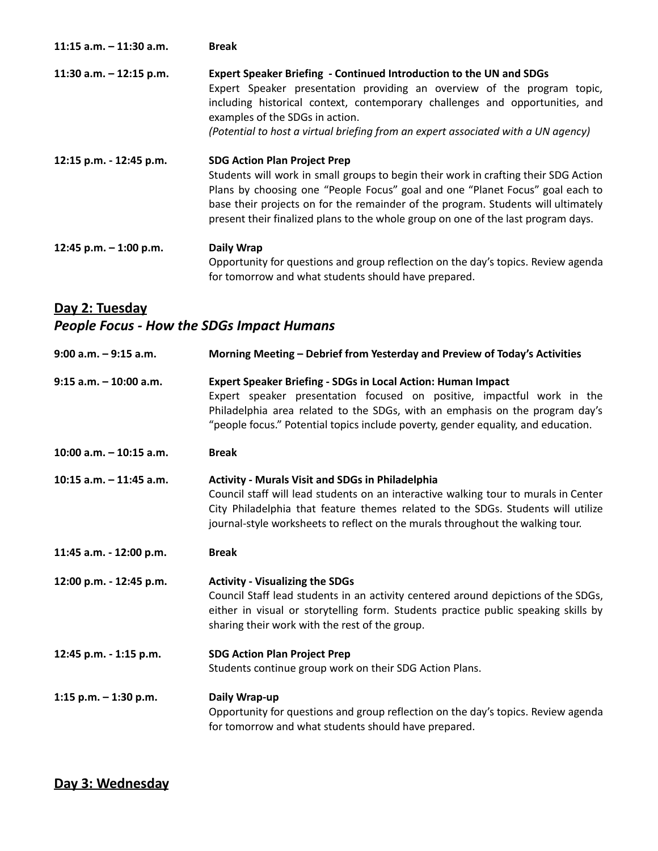| $11:15$ a.m. $-11:30$ a.m. | <b>Break</b>                                                                                                                                                                                                                                                                                                                                                                          |
|----------------------------|---------------------------------------------------------------------------------------------------------------------------------------------------------------------------------------------------------------------------------------------------------------------------------------------------------------------------------------------------------------------------------------|
| 11:30 a.m. $-$ 12:15 p.m.  | Expert Speaker Briefing - Continued Introduction to the UN and SDGs<br>Expert Speaker presentation providing an overview of the program topic,<br>including historical context, contemporary challenges and opportunities, and<br>examples of the SDGs in action.<br>(Potential to host a virtual briefing from an expert associated with a UN agency)                                |
| 12:15 p.m. - 12:45 p.m.    | <b>SDG Action Plan Project Prep</b><br>Students will work in small groups to begin their work in crafting their SDG Action<br>Plans by choosing one "People Focus" goal and one "Planet Focus" goal each to<br>base their projects on for the remainder of the program. Students will ultimately<br>present their finalized plans to the whole group on one of the last program days. |
| 12:45 p.m. $-1:00$ p.m.    | Daily Wrap<br>Opportunity for questions and group reflection on the day's topics. Review agenda<br>for tomorrow and what students should have prepared.                                                                                                                                                                                                                               |

#### **Day 2: Tuesday** *People Focus - How the SDGs Impact Humans*

| $9:00$ a.m. $-9:15$ a.m.  | Morning Meeting - Debrief from Yesterday and Preview of Today's Activities                                                                                                                                                                                                                                           |
|---------------------------|----------------------------------------------------------------------------------------------------------------------------------------------------------------------------------------------------------------------------------------------------------------------------------------------------------------------|
| $9:15$ a.m. $-10:00$ a.m. | <b>Expert Speaker Briefing - SDGs in Local Action: Human Impact</b><br>Expert speaker presentation focused on positive, impactful work in the<br>Philadelphia area related to the SDGs, with an emphasis on the program day's<br>"people focus." Potential topics include poverty, gender equality, and education.   |
| 10:00 a.m. - 10:15 a.m.   | <b>Break</b>                                                                                                                                                                                                                                                                                                         |
| 10:15 a.m. $-$ 11:45 a.m. | <b>Activity - Murals Visit and SDGs in Philadelphia</b><br>Council staff will lead students on an interactive walking tour to murals in Center<br>City Philadelphia that feature themes related to the SDGs. Students will utilize<br>journal-style worksheets to reflect on the murals throughout the walking tour. |
| 11:45 a.m. - 12:00 p.m.   | <b>Break</b>                                                                                                                                                                                                                                                                                                         |
| 12:00 p.m. - 12:45 p.m.   | <b>Activity - Visualizing the SDGs</b><br>Council Staff lead students in an activity centered around depictions of the SDGs,<br>either in visual or storytelling form. Students practice public speaking skills by<br>sharing their work with the rest of the group.                                                 |
| 12:45 p.m. - 1:15 p.m.    | <b>SDG Action Plan Project Prep</b><br>Students continue group work on their SDG Action Plans.                                                                                                                                                                                                                       |
| 1:15 p.m. $-$ 1:30 p.m.   | Daily Wrap-up<br>Opportunity for questions and group reflection on the day's topics. Review agenda<br>for tomorrow and what students should have prepared.                                                                                                                                                           |

**Day 3: Wednesday**